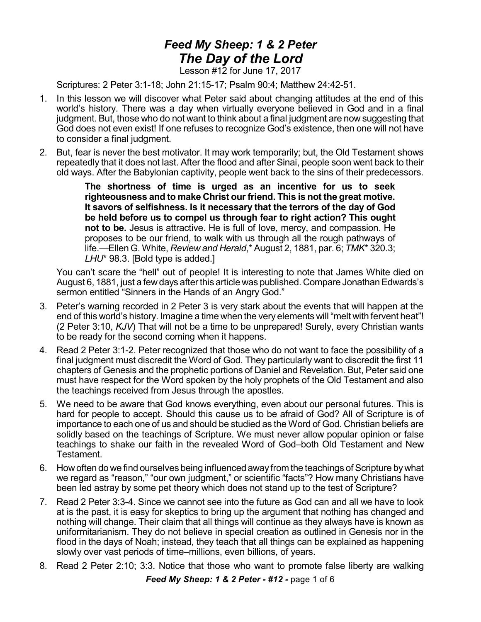## *Feed My Sheep: 1 & 2 Peter The Day of the Lord*

Lesson #12 for June 17, 2017

Scriptures: 2 Peter 3:1-18; John 21:15-17; Psalm 90:4; Matthew 24:42-51.

- 1. In this lesson we will discover what Peter said about changing attitudes at the end of this world's history. There was a day when virtually everyone believed in God and in a final judgment. But, those who do not want to think about a final judgment are now suggesting that God does not even exist! If one refuses to recognize God's existence, then one will not have to consider a final judgment.
- 2. But, fear is never the best motivator. It may work temporarily; but, the Old Testament shows repeatedly that it does not last. After the flood and after Sinai, people soon went back to their old ways. After the Babylonian captivity, people went back to the sins of their predecessors.

**The shortness of time is urged as an incentive for us to seek righteousness and to make Christ our friend. This is not the great motive. It savors of selfishness. Is it necessary that the terrors of the day of God be held before us to compel us through fear to right action? This ought not to be.** Jesus is attractive. He is full of love, mercy, and compassion. He proposes to be our friend, to walk with us through all the rough pathways of life.—Ellen G. White, *Review and Herald*,\* August 2, 1881, par. 6; *TMK*\* 320.3; *LHU*\* 98.3. [Bold type is added.]

You can't scare the "hell" out of people! It is interesting to note that James White died on August 6, 1881, just a few days after this article was published. Compare Jonathan Edwards's sermon entitled "Sinners in the Hands of an Angry God."

- 3. Peter's warning recorded in 2 Peter 3 is very stark about the events that will happen at the end of this world's history. Imagine a time when the very elements will "melt with fervent heat"! (2 Peter 3:10, *KJV*) That will not be a time to be unprepared! Surely, every Christian wants to be ready for the second coming when it happens.
- 4. Read 2 Peter 3:1-2. Peter recognized that those who do not want to face the possibility of a final judgment must discredit the Word of God. They particularly want to discredit the first 11 chapters of Genesis and the prophetic portions of Daniel and Revelation. But, Peter said one must have respect for the Word spoken by the holy prophets of the Old Testament and also the teachings received from Jesus through the apostles.
- 5. We need to be aware that God knows everything, even about our personal futures. This is hard for people to accept. Should this cause us to be afraid of God? All of Scripture is of importance to each one of us and should be studied as the Word of God. Christian beliefs are solidly based on the teachings of Scripture. We must never allow popular opinion or false teachings to shake our faith in the revealed Word of God–both Old Testament and New Testament.
- 6. Howoften do we find ourselves being influencedaway from the teachings of Scripture bywhat we regard as "reason," "our own judgment," or scientific "facts"? How many Christians have been led astray by some pet theory which does not stand up to the test of Scripture?
- 7. Read 2 Peter 3:3-4. Since we cannot see into the future as God can and all we have to look at is the past, it is easy for skeptics to bring up the argument that nothing has changed and nothing will change. Their claim that all things will continue as they always have is known as uniformitarianism. They do not believe in special creation as outlined in Genesis nor in the flood in the days of Noah; instead, they teach that all things can be explained as happening slowly over vast periods of time–millions, even billions, of years.
- 8. Read 2 Peter 2:10; 3:3. Notice that those who want to promote false liberty are walking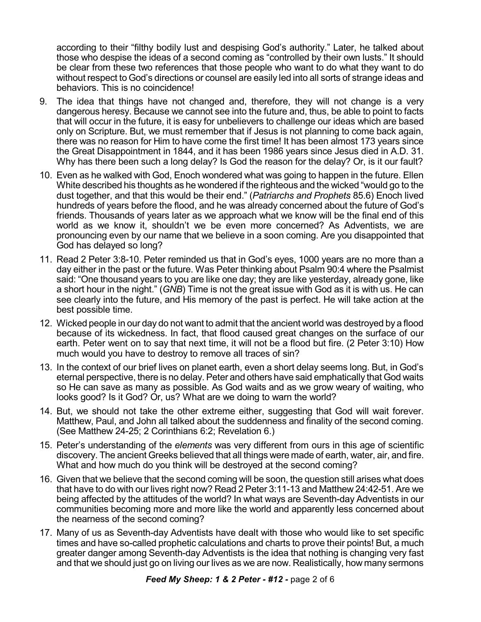according to their "filthy bodily lust and despising God's authority." Later, he talked about those who despise the ideas of a second coming as "controlled by their own lusts." It should be clear from these two references that those people who want to do what they want to do without respect to God's directions or counsel are easily led into all sorts of strange ideas and behaviors. This is no coincidence!

- 9. The idea that things have not changed and, therefore, they will not change is a very dangerous heresy. Because we cannot see into the future and, thus, be able to point to facts that will occur in the future, it is easy for unbelievers to challenge our ideas which are based only on Scripture. But, we must remember that if Jesus is not planning to come back again, there was no reason for Him to have come the first time! It has been almost 173 years since the Great Disappointment in 1844, and it has been 1986 years since Jesus died in A.D. 31. Why has there been such a long delay? Is God the reason for the delay? Or, is it our fault?
- 10. Even as he walked with God, Enoch wondered what was going to happen in the future. Ellen White described his thoughts as he wondered if the righteous and the wicked "would go to the dust together, and that this would be their end." (*Patriarchs and Prophets* 85.6) Enoch lived hundreds of years before the flood, and he was already concerned about the future of God's friends. Thousands of years later as we approach what we know will be the final end of this world as we know it, shouldn't we be even more concerned? As Adventists, we are pronouncing even by our name that we believe in a soon coming. Are you disappointed that God has delayed so long?
- 11. Read 2 Peter 3:8-10. Peter reminded us that in God's eyes, 1000 years are no more than a day either in the past or the future. Was Peter thinking about Psalm 90:4 where the Psalmist said: "One thousand years to you are like one day; they are like yesterday, already gone, like a short hour in the night." (*GNB*) Time is not the great issue with God as it is with us. He can see clearly into the future, and His memory of the past is perfect. He will take action at the best possible time.
- 12. Wicked people in our day do not want to admit that the ancient world was destroyed by a flood because of its wickedness. In fact, that flood caused great changes on the surface of our earth. Peter went on to say that next time, it will not be a flood but fire. (2 Peter 3:10) How much would you have to destroy to remove all traces of sin?
- 13. In the context of our brief lives on planet earth, even a short delay seems long. But, in God's eternal perspective, there is no delay. Peter and others have said emphatically that God waits so He can save as many as possible. As God waits and as we grow weary of waiting, who looks good? Is it God? Or, us? What are we doing to warn the world?
- 14. But, we should not take the other extreme either, suggesting that God will wait forever. Matthew, Paul, and John all talked about the suddenness and finality of the second coming. (See Matthew 24-25; 2 Corinthians 6:2; Revelation 6.)
- 15. Peter's understanding of the *elements* was very different from ours in this age of scientific discovery. The ancient Greeks believed that all things were made of earth, water, air, and fire. What and how much do you think will be destroyed at the second coming?
- 16. Given that we believe that the second coming will be soon, the question still arises what does that have to do with our lives right now? Read 2 Peter 3:11-13 and Matthew 24:42-51. Are we being affected by the attitudes of the world? In what ways are Seventh-day Adventists in our communities becoming more and more like the world and apparently less concerned about the nearness of the second coming?
- 17. Many of us as Seventh-day Adventists have dealt with those who would like to set specific times and have so-called prophetic calculations and charts to prove their points! But, a much greater danger among Seventh-day Adventists is the idea that nothing is changing very fast and that we should just go on living our lives as we are now. Realistically, how many sermons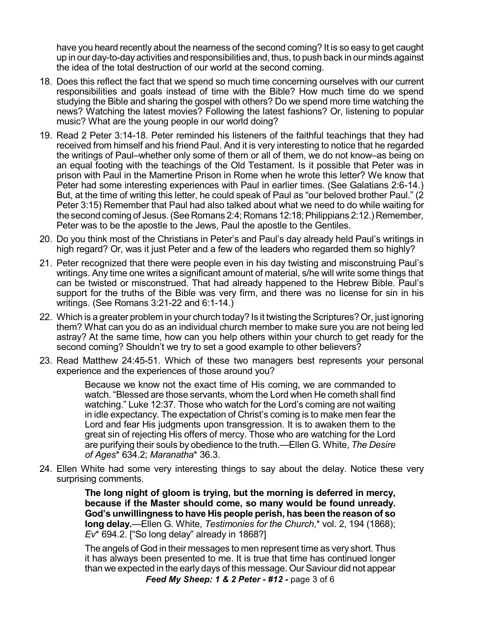have you heard recently about the nearness of the second coming? It is so easy to get caught up in our day-to-day activities and responsibilities and, thus, to push back in our minds against the idea of the total destruction of our world at the second coming.

- 18. Does this reflect the fact that we spend so much time concerning ourselves with our current responsibilities and goals instead of time with the Bible? How much time do we spend studying the Bible and sharing the gospel with others? Do we spend more time watching the news? Watching the latest movies? Following the latest fashions? Or, listening to popular music? What are the young people in our world doing?
- 19. Read 2 Peter 3:14-18. Peter reminded his listeners of the faithful teachings that they had received from himself and his friend Paul. And it is very interesting to notice that he regarded the writings of Paul–whether only some of them or all of them, we do not know–as being on an equal footing with the teachings of the Old Testament. Is it possible that Peter was in prison with Paul in the Mamertine Prison in Rome when he wrote this letter? We know that Peter had some interesting experiences with Paul in earlier times. (See Galatians 2:6-14.) But, at the time of writing this letter, he could speak of Paul as "our beloved brother Paul." (2 Peter 3:15) Remember that Paul had also talked about what we need to do while waiting for the second coming of Jesus. (See Romans 2:4; Romans 12:18; Philippians 2:12.) Remember, Peter was to be the apostle to the Jews, Paul the apostle to the Gentiles.
- 20. Do you think most of the Christians in Peter's and Paul's day already held Paul's writings in high regard? Or, was it just Peter and a few of the leaders who regarded them so highly?
- 21. Peter recognized that there were people even in his day twisting and misconstruing Paul's writings. Any time one writes a significant amount of material, s/he will write some things that can be twisted or misconstrued. That had already happened to the Hebrew Bible. Paul's support for the truths of the Bible was very firm, and there was no license for sin in his writings. (See Romans 3:21-22 and 6:1-14.)
- 22. Which is a greater problem in your church today? Is it twisting the Scriptures? Or, just ignoring them? What can you do as an individual church member to make sure you are not being led astray? At the same time, how can you help others within your church to get ready for the second coming? Shouldn't we try to set a good example to other believers?
- 23. Read Matthew 24:45-51. Which of these two managers best represents your personal experience and the experiences of those around you?

Because we know not the exact time of His coming, we are commanded to watch. "Blessed are those servants, whom the Lord when He cometh shall find watching." Luke 12:37. Those who watch for the Lord's coming are not waiting in idle expectancy. The expectation of Christ's coming is to make men fear the Lord and fear His judgments upon transgression. It is to awaken them to the great sin of rejecting His offers of mercy. Those who are watching for the Lord are purifying their souls by obedience to the truth.—Ellen G. White, *The Desire of Ages*\* 634.2; *Maranatha*\* 36.3.

24. Ellen White had some very interesting things to say about the delay. Notice these very surprising comments.

> **The long night of gloom is trying, but the morning is deferred in mercy, because if the Master should come, so many would be found unready. God's unwillingness to have His people perish, has been the reason of so long delay.**—Ellen G. White, *Testimonies for the Church*,\* vol. 2, 194 (1868); *Ev*\* 694.2. ["So long delay" already in 1868?]

> The angels of God in their messages to men represent time as very short. Thus it has always been presented to me. It is true that time has continued longer than we expected in the early days of this message. Our Saviour did not appear *Feed My Sheep: 1 & 2 Peter - #12 -* page 3 of 6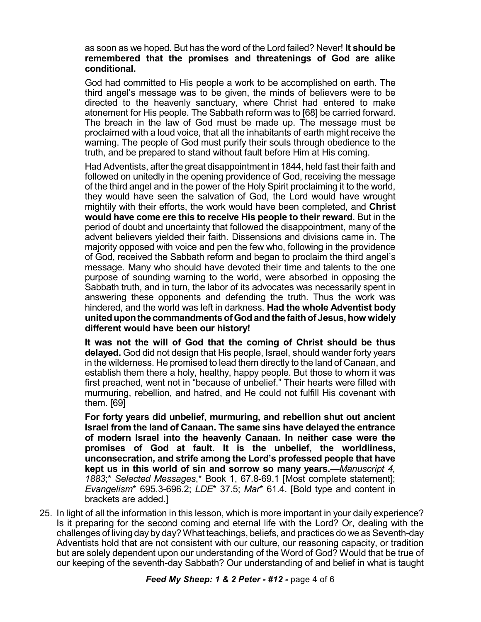## as soon as we hoped. But has the word of the Lord failed? Never! **It should be remembered that the promises and threatenings of God are alike conditional.**

God had committed to His people a work to be accomplished on earth. The third angel's message was to be given, the minds of believers were to be directed to the heavenly sanctuary, where Christ had entered to make atonement for His people. The Sabbath reform was to [68] be carried forward. The breach in the law of God must be made up. The message must be proclaimed with a loud voice, that all the inhabitants of earth might receive the warning. The people of God must purify their souls through obedience to the truth, and be prepared to stand without fault before Him at His coming.

Had Adventists, after the great disappointment in 1844, held fast their faith and followed on unitedly in the opening providence of God, receiving the message of the third angel and in the power of the Holy Spirit proclaiming it to the world, they would have seen the salvation of God, the Lord would have wrought mightily with their efforts, the work would have been completed, and **Christ would have come ere this to receive His people to their reward**. But in the period of doubt and uncertainty that followed the disappointment, many of the advent believers yielded their faith. Dissensions and divisions came in. The majority opposed with voice and pen the few who, following in the providence of God, received the Sabbath reform and began to proclaim the third angel's message. Many who should have devoted their time and talents to the one purpose of sounding warning to the world, were absorbed in opposing the Sabbath truth, and in turn, the labor of its advocates was necessarily spent in answering these opponents and defending the truth. Thus the work was hindered, and the world was left in darkness. **Had the whole Adventist body uniteduponthe commandmentsofGodandthe faithof Jesus,how widely different would have been our history!**

**It was not the will of God that the coming of Christ should be thus delayed.** God did not design that His people, Israel, should wander forty years in the wilderness. He promised to lead them directly to the land of Canaan, and establish them there a holy, healthy, happy people. But those to whom it was first preached, went not in "because of unbelief." Their hearts were filled with murmuring, rebellion, and hatred, and He could not fulfill His covenant with them. [69]

**For forty years did unbelief, murmuring, and rebellion shut out ancient Israel from the land of Canaan. The same sins have delayed the entrance of modern Israel into the heavenly Canaan. In neither case were the promises of God at fault. It is the unbelief, the worldliness, unconsecration, and strife among the Lord's professed people that have kept us in this world of sin and sorrow so many years.**—*Manuscript 4, 1883*;\* *Selected Messages*,\* Book 1, 67.8-69.1 [Most complete statement]; *Evangelism*\* 695.3-696.2; *LDE*\* 37.5; *Mar*\* 61.4. [Bold type and content in brackets are added.]

25. In light of all the information in this lesson, which is more important in your daily experience? Is it preparing for the second coming and eternal life with the Lord? Or, dealing with the challenges of living day by day?What teachings, beliefs, and practices do we as Seventh-day Adventists hold that are not consistent with our culture, our reasoning capacity, or tradition but are solely dependent upon our understanding of the Word of God? Would that be true of our keeping of the seventh-day Sabbath? Our understanding of and belief in what is taught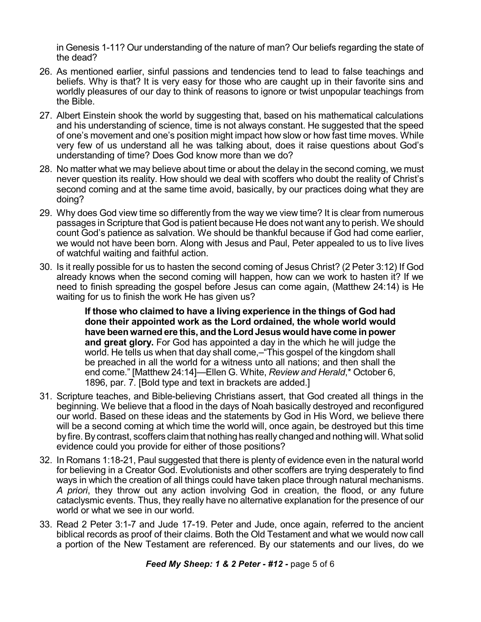in Genesis 1-11? Our understanding of the nature of man? Our beliefs regarding the state of the dead?

- 26. As mentioned earlier, sinful passions and tendencies tend to lead to false teachings and beliefs. Why is that? It is very easy for those who are caught up in their favorite sins and worldly pleasures of our day to think of reasons to ignore or twist unpopular teachings from the Bible.
- 27. Albert Einstein shook the world by suggesting that, based on his mathematical calculations and his understanding of science, time is not always constant. He suggested that the speed of one's movement and one's position might impact how slow or how fast time moves. While very few of us understand all he was talking about, does it raise questions about God's understanding of time? Does God know more than we do?
- 28. No matter what we may believe about time or about the delay in the second coming, we must never question its reality. How should we deal with scoffers who doubt the reality of Christ's second coming and at the same time avoid, basically, by our practices doing what they are doing?
- 29. Why does God view time so differently from the way we view time? It is clear from numerous passages in Scripture that God is patient because He does not want any to perish. We should count God's patience as salvation. We should be thankful because if God had come earlier, we would not have been born. Along with Jesus and Paul, Peter appealed to us to live lives of watchful waiting and faithful action.
- 30. Is it really possible for us to hasten the second coming of Jesus Christ? (2 Peter 3:12) If God already knows when the second coming will happen, how can we work to hasten it? If we need to finish spreading the gospel before Jesus can come again, (Matthew 24:14) is He waiting for us to finish the work He has given us?

**If those who claimed to have a living experience in the things of God had done their appointed work as the Lord ordained, the whole world would have been warned ere this, and the Lord Jesus would have come in power and great glory.** For God has appointed a day in the which he will judge the world. He tells us when that day shall come,-"This gospel of the kingdom shall be preached in all the world for a witness unto all nations; and then shall the end come." [Matthew 24:14]—Ellen G. White, *Review and Herald*,\* October 6, 1896, par. 7. [Bold type and text in brackets are added.]

- 31. Scripture teaches, and Bible-believing Christians assert, that God created all things in the beginning. We believe that a flood in the days of Noah basically destroyed and reconfigured our world. Based on these ideas and the statements by God in His Word, we believe there will be a second coming at which time the world will, once again, be destroyed but this time by fire.By contrast, scoffers claim that nothing has really changed and nothing will. What solid evidence could you provide for either of those positions?
- 32. In Romans 1:18-21, Paul suggested that there is plenty of evidence even in the natural world for believing in a Creator God. Evolutionists and other scoffers are trying desperately to find ways in which the creation of all things could have taken place through natural mechanisms. *A priori*, they throw out any action involving God in creation, the flood, or any future cataclysmic events. Thus, they really have no alternative explanation for the presence of our world or what we see in our world.
- 33. Read 2 Peter 3:1-7 and Jude 17-19. Peter and Jude, once again, referred to the ancient biblical records as proof of their claims. Both the Old Testament and what we would now call a portion of the New Testament are referenced. By our statements and our lives, do we